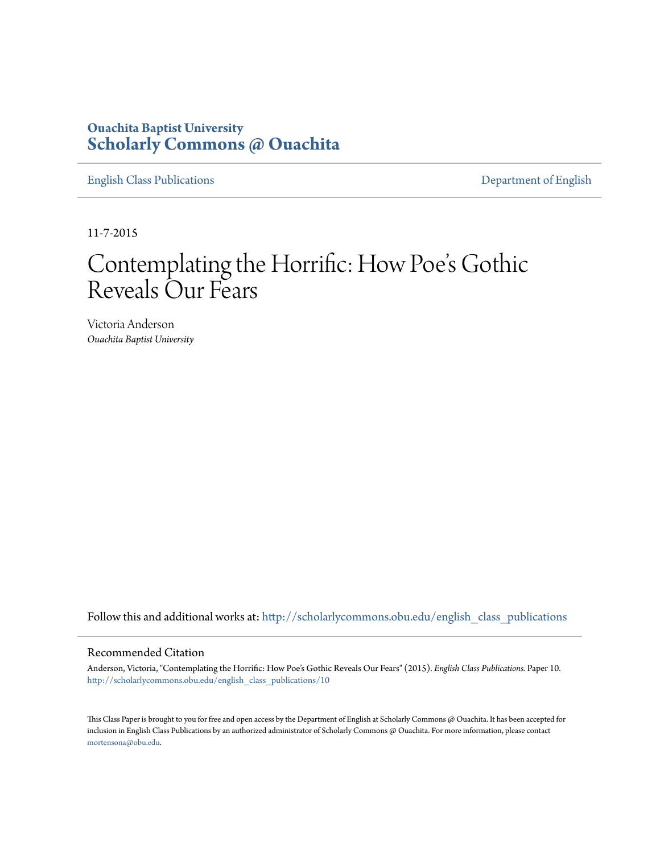# **Ouachita Baptist University [Scholarly Commons @ Ouachita](http://scholarlycommons.obu.edu?utm_source=scholarlycommons.obu.edu%2Fenglish_class_publications%2F10&utm_medium=PDF&utm_campaign=PDFCoverPages)**

[English Class Publications](http://scholarlycommons.obu.edu/english_class_publications?utm_source=scholarlycommons.obu.edu%2Fenglish_class_publications%2F10&utm_medium=PDF&utm_campaign=PDFCoverPages) [Department of English](http://scholarlycommons.obu.edu/english?utm_source=scholarlycommons.obu.edu%2Fenglish_class_publications%2F10&utm_medium=PDF&utm_campaign=PDFCoverPages)

11-7-2015

# Contemplating the Horrific: How Poe 's Gothic Reveals Our Fears

Victoria Anderson *Ouachita Baptist University*

Follow this and additional works at: [http://scholarlycommons.obu.edu/english\\_class\\_publications](http://scholarlycommons.obu.edu/english_class_publications?utm_source=scholarlycommons.obu.edu%2Fenglish_class_publications%2F10&utm_medium=PDF&utm_campaign=PDFCoverPages)

#### Recommended Citation

Anderson, Victoria, "Contemplating the Horrific: How Poe's Gothic Reveals Our Fears" (2015). *English Class Publications.* Paper 10. [http://scholarlycommons.obu.edu/english\\_class\\_publications/10](http://scholarlycommons.obu.edu/english_class_publications/10?utm_source=scholarlycommons.obu.edu%2Fenglish_class_publications%2F10&utm_medium=PDF&utm_campaign=PDFCoverPages)

This Class Paper is brought to you for free and open access by the Department of English at Scholarly Commons @ Ouachita. It has been accepted for inclusion in English Class Publications by an authorized administrator of Scholarly Commons @ Ouachita. For more information, please contact [mortensona@obu.edu](mailto:mortensona@obu.edu).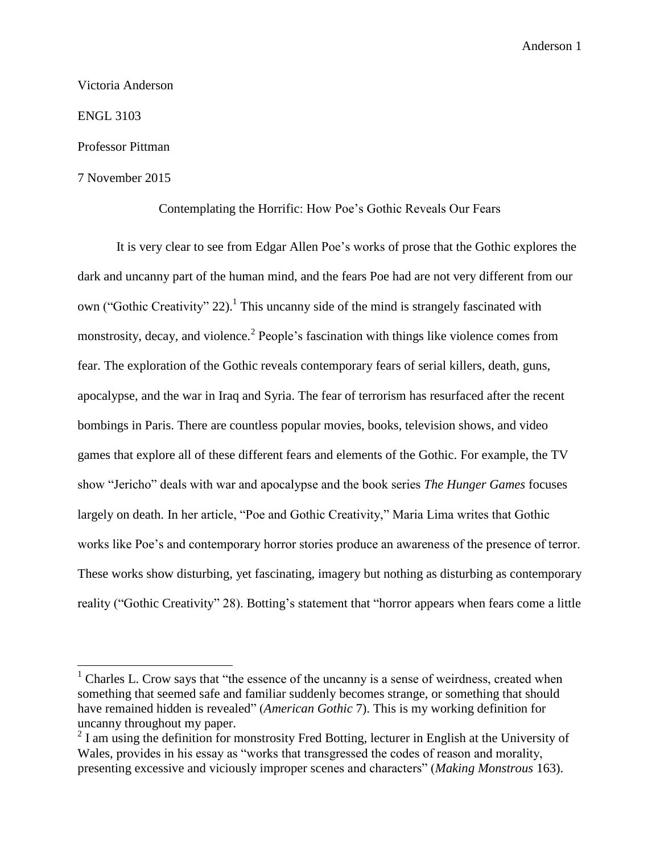Victoria Anderson

ENGL 3103

 $\overline{\phantom{a}}$ 

#### Professor Pittman

## 7 November 2015

Contemplating the Horrific: How Poe's Gothic Reveals Our Fears

It is very clear to see from Edgar Allen Poe's works of prose that the Gothic explores the dark and uncanny part of the human mind, and the fears Poe had are not very different from our own ("Gothic Creativity" 22).<sup>1</sup> This uncanny side of the mind is strangely fascinated with monstrosity, decay, and violence.<sup>2</sup> People's fascination with things like violence comes from fear. The exploration of the Gothic reveals contemporary fears of serial killers, death, guns, apocalypse, and the war in Iraq and Syria. The fear of terrorism has resurfaced after the recent bombings in Paris. There are countless popular movies, books, television shows, and video games that explore all of these different fears and elements of the Gothic. For example, the TV show "Jericho" deals with war and apocalypse and the book series *The Hunger Games* focuses largely on death. In her article, "Poe and Gothic Creativity," Maria Lima writes that Gothic works like Poe's and contemporary horror stories produce an awareness of the presence of terror. These works show disturbing, yet fascinating, imagery but nothing as disturbing as contemporary reality ("Gothic Creativity" 28). Botting's statement that "horror appears when fears come a little

 $<sup>1</sup>$  Charles L. Crow says that "the essence of the uncanny is a sense of weirdness, created when</sup> something that seemed safe and familiar suddenly becomes strange, or something that should have remained hidden is revealed" (*American Gothic* 7). This is my working definition for uncanny throughout my paper.

 $2<sup>2</sup>$  I am using the definition for monstrosity Fred Botting, lecturer in English at the University of Wales, provides in his essay as "works that transgressed the codes of reason and morality, presenting excessive and viciously improper scenes and characters" (*Making Monstrous* 163).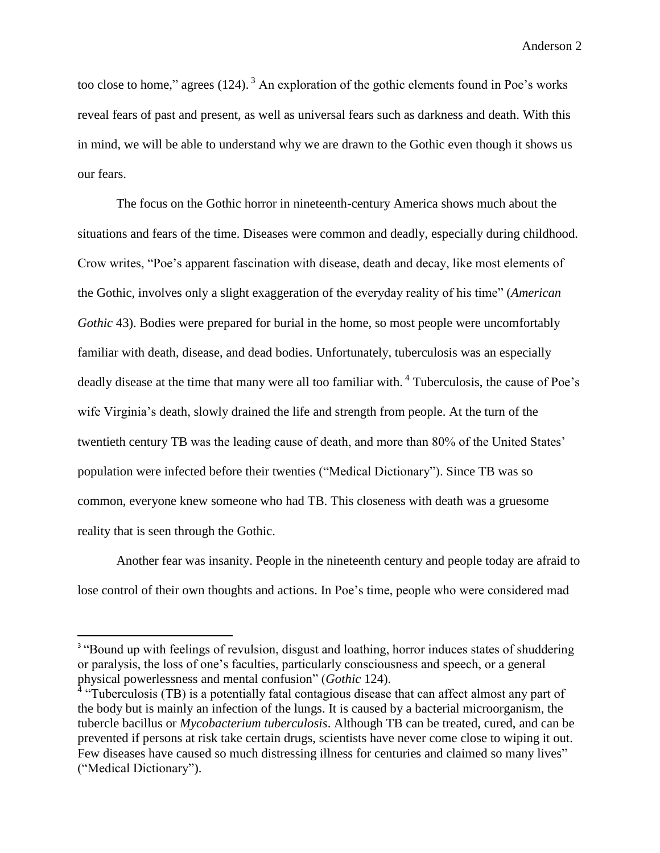too close to home," agrees  $(124)$ .  $\frac{3}{2}$  An exploration of the gothic elements found in Poe's works reveal fears of past and present, as well as universal fears such as darkness and death. With this in mind, we will be able to understand why we are drawn to the Gothic even though it shows us our fears.

The focus on the Gothic horror in nineteenth-century America shows much about the situations and fears of the time. Diseases were common and deadly, especially during childhood. Crow writes, "Poe's apparent fascination with disease, death and decay, like most elements of the Gothic, involves only a slight exaggeration of the everyday reality of his time" (*American Gothic* 43). Bodies were prepared for burial in the home, so most people were uncomfortably familiar with death, disease, and dead bodies. Unfortunately, tuberculosis was an especially deadly disease at the time that many were all too familiar with. <sup>4</sup> Tuberculosis, the cause of Poe's wife Virginia's death, slowly drained the life and strength from people. At the turn of the twentieth century TB was the leading cause of death, and more than 80% of the United States' population were infected before their twenties ("Medical Dictionary"). Since TB was so common, everyone knew someone who had TB. This closeness with death was a gruesome reality that is seen through the Gothic.

Another fear was insanity. People in the nineteenth century and people today are afraid to lose control of their own thoughts and actions. In Poe's time, people who were considered mad

 $\overline{\phantom{a}}$ 

<sup>&</sup>lt;sup>3</sup> "Bound up with feelings of revulsion, disgust and loathing, horror induces states of shuddering or paralysis, the loss of one's faculties, particularly consciousness and speech, or a general physical powerlessness and mental confusion" (*Gothic* 124).

<sup>&</sup>lt;sup>4</sup> "Tuberculosis (TB) is a potentially fatal contagious disease that can affect almost any part of the body but is mainly an infection of the lungs. It is caused by a bacterial microorganism, the tubercle bacillus or *Mycobacterium tuberculosis*. Although TB can be treated, cured, and can be prevented if persons at risk take certain drugs, scientists have never come close to wiping it out. Few diseases have caused so much distressing illness for centuries and claimed so many lives" ("Medical Dictionary").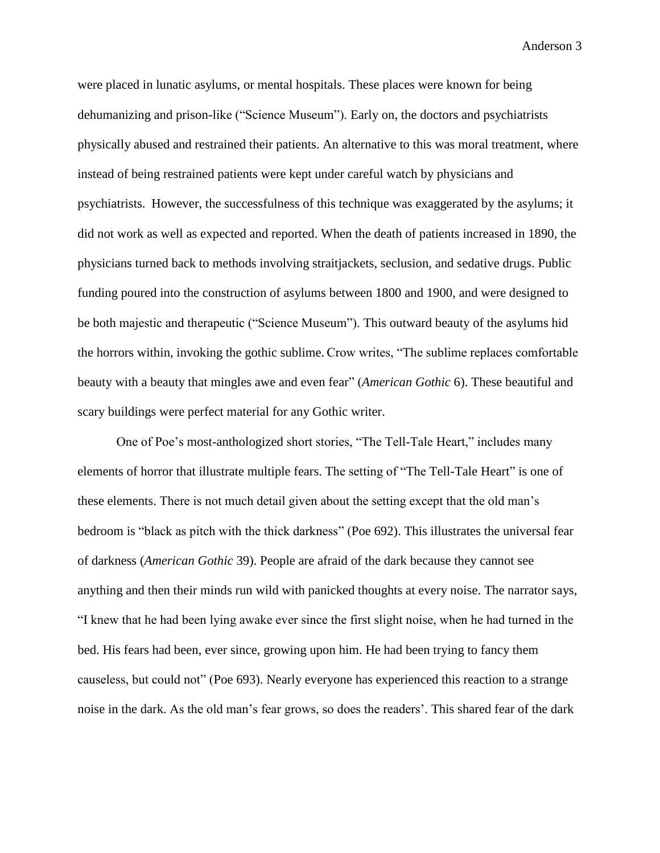were placed in lunatic asylums, or mental hospitals. These places were known for being dehumanizing and prison-like ("Science Museum"). Early on, the doctors and psychiatrists physically abused and restrained their patients. An alternative to this was moral treatment, where instead of being restrained patients were kept under careful watch by physicians and psychiatrists. However, the successfulness of this technique was exaggerated by the asylums; it did not work as well as expected and reported. When the death of patients increased in 1890, the physicians turned back to methods involving straitjackets, seclusion, and sedative drugs. Public funding poured into the construction of asylums between 1800 and 1900, and were designed to be both majestic and therapeutic ("Science Museum"). This outward beauty of the asylums hid the horrors within, invoking the gothic sublime. Crow writes, "The sublime replaces comfortable beauty with a beauty that mingles awe and even fear" (*American Gothic* 6). These beautiful and scary buildings were perfect material for any Gothic writer.

One of Poe's most-anthologized short stories, "The Tell-Tale Heart," includes many elements of horror that illustrate multiple fears. The setting of "The Tell-Tale Heart" is one of these elements. There is not much detail given about the setting except that the old man's bedroom is "black as pitch with the thick darkness" (Poe 692). This illustrates the universal fear of darkness (*American Gothic* 39). People are afraid of the dark because they cannot see anything and then their minds run wild with panicked thoughts at every noise. The narrator says, "I knew that he had been lying awake ever since the first slight noise, when he had turned in the bed. His fears had been, ever since, growing upon him. He had been trying to fancy them causeless, but could not" (Poe 693). Nearly everyone has experienced this reaction to a strange noise in the dark. As the old man's fear grows, so does the readers'. This shared fear of the dark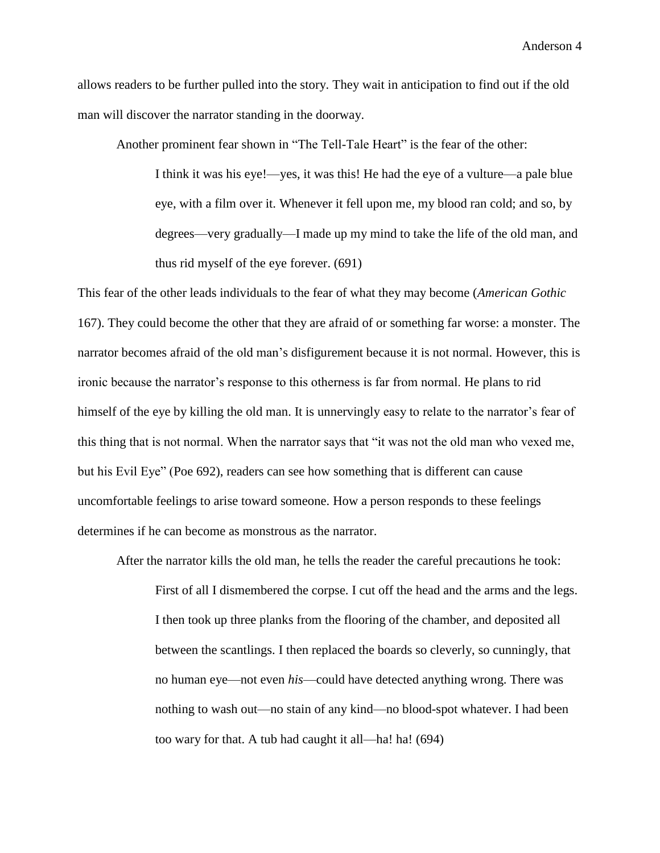allows readers to be further pulled into the story. They wait in anticipation to find out if the old man will discover the narrator standing in the doorway.

Another prominent fear shown in "The Tell-Tale Heart" is the fear of the other:

I think it was his eye!—yes, it was this! He had the eye of a vulture—a pale blue eye, with a film over it. Whenever it fell upon me, my blood ran cold; and so, by degrees—very gradually—I made up my mind to take the life of the old man, and thus rid myself of the eye forever. (691)

This fear of the other leads individuals to the fear of what they may become (*American Gothic* 167). They could become the other that they are afraid of or something far worse: a monster. The narrator becomes afraid of the old man's disfigurement because it is not normal. However, this is ironic because the narrator's response to this otherness is far from normal. He plans to rid himself of the eye by killing the old man. It is unnervingly easy to relate to the narrator's fear of this thing that is not normal. When the narrator says that "it was not the old man who vexed me, but his Evil Eye" (Poe 692), readers can see how something that is different can cause uncomfortable feelings to arise toward someone. How a person responds to these feelings determines if he can become as monstrous as the narrator.

After the narrator kills the old man, he tells the reader the careful precautions he took:

First of all I dismembered the corpse. I cut off the head and the arms and the legs. I then took up three planks from the flooring of the chamber, and deposited all between the scantlings. I then replaced the boards so cleverly, so cunningly, that no human eye—not even *his*—could have detected anything wrong. There was nothing to wash out—no stain of any kind—no blood-spot whatever. I had been too wary for that. A tub had caught it all—ha! ha! (694)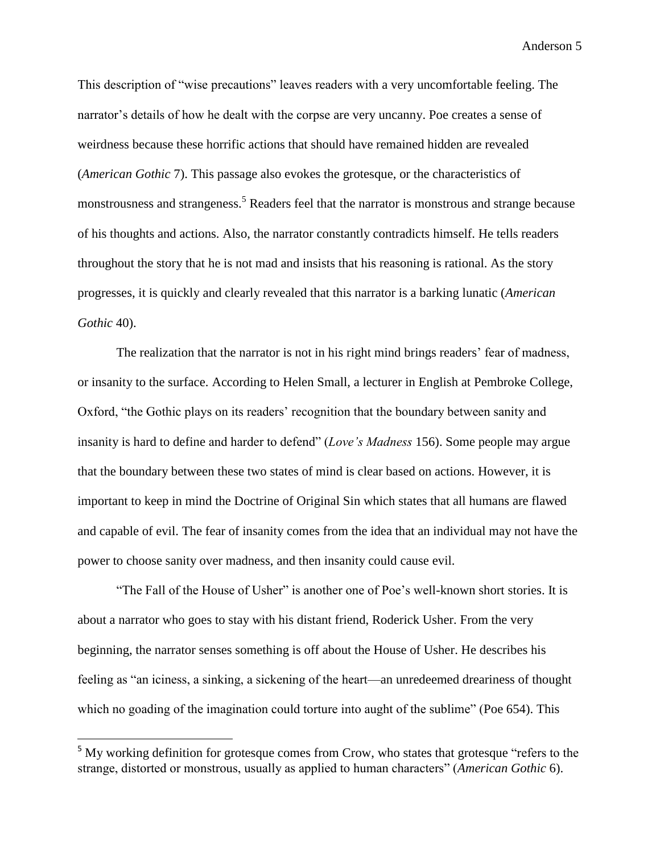This description of "wise precautions" leaves readers with a very uncomfortable feeling. The narrator's details of how he dealt with the corpse are very uncanny. Poe creates a sense of weirdness because these horrific actions that should have remained hidden are revealed (*American Gothic* 7). This passage also evokes the grotesque, or the characteristics of monstrousness and strangeness.<sup>5</sup> Readers feel that the narrator is monstrous and strange because of his thoughts and actions. Also, the narrator constantly contradicts himself. He tells readers throughout the story that he is not mad and insists that his reasoning is rational. As the story progresses, it is quickly and clearly revealed that this narrator is a barking lunatic (*American Gothic* 40).

The realization that the narrator is not in his right mind brings readers' fear of madness, or insanity to the surface. According to Helen Small, a lecturer in English at Pembroke College, Oxford, "the Gothic plays on its readers' recognition that the boundary between sanity and insanity is hard to define and harder to defend" (*Love's Madness* 156). Some people may argue that the boundary between these two states of mind is clear based on actions. However, it is important to keep in mind the Doctrine of Original Sin which states that all humans are flawed and capable of evil. The fear of insanity comes from the idea that an individual may not have the power to choose sanity over madness, and then insanity could cause evil.

"The Fall of the House of Usher" is another one of Poe's well-known short stories. It is about a narrator who goes to stay with his distant friend, Roderick Usher. From the very beginning, the narrator senses something is off about the House of Usher. He describes his feeling as "an iciness, a sinking, a sickening of the heart—an unredeemed dreariness of thought which no goading of the imagination could torture into aught of the sublime" (Poe 654). This

 $\overline{\phantom{a}}$ 

 $5$  My working definition for grotesque comes from Crow, who states that grotesque "refers to the strange, distorted or monstrous, usually as applied to human characters" (*American Gothic* 6).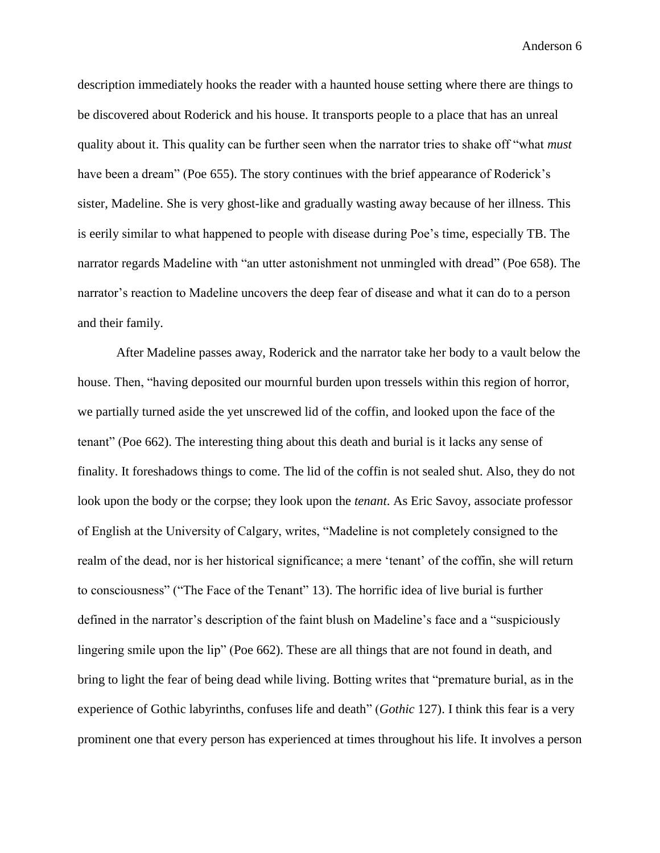description immediately hooks the reader with a haunted house setting where there are things to be discovered about Roderick and his house. It transports people to a place that has an unreal quality about it. This quality can be further seen when the narrator tries to shake off "what *must*  have been a dream" (Poe 655). The story continues with the brief appearance of Roderick's sister, Madeline. She is very ghost-like and gradually wasting away because of her illness. This is eerily similar to what happened to people with disease during Poe's time, especially TB. The narrator regards Madeline with "an utter astonishment not unmingled with dread" (Poe 658). The narrator's reaction to Madeline uncovers the deep fear of disease and what it can do to a person and their family.

After Madeline passes away, Roderick and the narrator take her body to a vault below the house. Then, "having deposited our mournful burden upon tressels within this region of horror, we partially turned aside the yet unscrewed lid of the coffin, and looked upon the face of the tenant" (Poe 662). The interesting thing about this death and burial is it lacks any sense of finality. It foreshadows things to come. The lid of the coffin is not sealed shut. Also, they do not look upon the body or the corpse; they look upon the *tenant*. As Eric Savoy, associate professor of English at the University of Calgary, writes, "Madeline is not completely consigned to the realm of the dead, nor is her historical significance; a mere 'tenant' of the coffin, she will return to consciousness" ("The Face of the Tenant" 13). The horrific idea of live burial is further defined in the narrator's description of the faint blush on Madeline's face and a "suspiciously lingering smile upon the lip" (Poe 662). These are all things that are not found in death, and bring to light the fear of being dead while living. Botting writes that "premature burial, as in the experience of Gothic labyrinths, confuses life and death" (*Gothic* 127). I think this fear is a very prominent one that every person has experienced at times throughout his life. It involves a person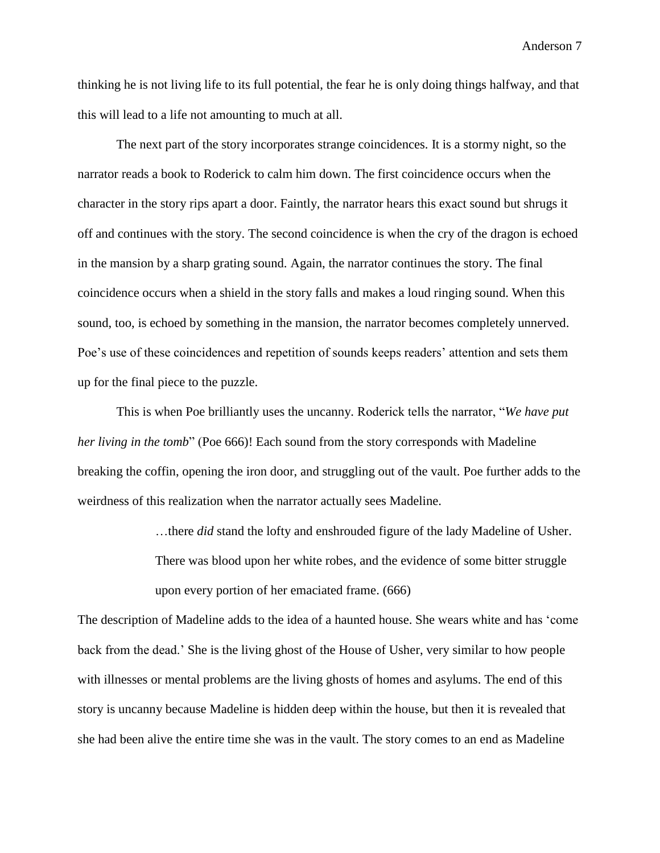thinking he is not living life to its full potential, the fear he is only doing things halfway, and that this will lead to a life not amounting to much at all.

The next part of the story incorporates strange coincidences. It is a stormy night, so the narrator reads a book to Roderick to calm him down. The first coincidence occurs when the character in the story rips apart a door. Faintly, the narrator hears this exact sound but shrugs it off and continues with the story. The second coincidence is when the cry of the dragon is echoed in the mansion by a sharp grating sound. Again, the narrator continues the story. The final coincidence occurs when a shield in the story falls and makes a loud ringing sound. When this sound, too, is echoed by something in the mansion, the narrator becomes completely unnerved. Poe's use of these coincidences and repetition of sounds keeps readers' attention and sets them up for the final piece to the puzzle.

This is when Poe brilliantly uses the uncanny. Roderick tells the narrator, "*We have put her living in the tomb*" (Poe 666)! Each sound from the story corresponds with Madeline breaking the coffin, opening the iron door, and struggling out of the vault. Poe further adds to the weirdness of this realization when the narrator actually sees Madeline.

…there *did* stand the lofty and enshrouded figure of the lady Madeline of Usher.

There was blood upon her white robes, and the evidence of some bitter struggle upon every portion of her emaciated frame. (666)

The description of Madeline adds to the idea of a haunted house. She wears white and has 'come back from the dead.' She is the living ghost of the House of Usher, very similar to how people with illnesses or mental problems are the living ghosts of homes and asylums. The end of this story is uncanny because Madeline is hidden deep within the house, but then it is revealed that she had been alive the entire time she was in the vault. The story comes to an end as Madeline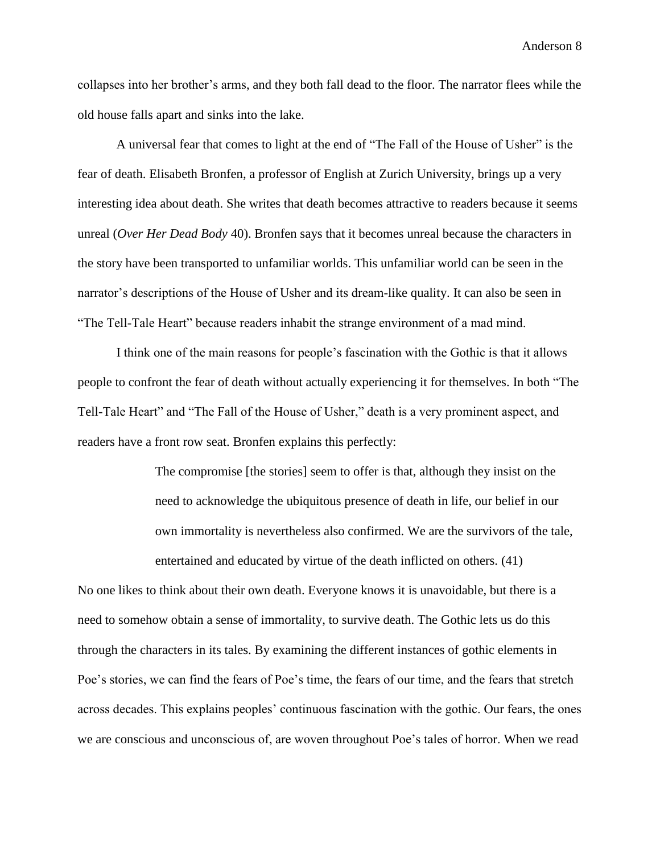collapses into her brother's arms, and they both fall dead to the floor. The narrator flees while the old house falls apart and sinks into the lake.

A universal fear that comes to light at the end of "The Fall of the House of Usher" is the fear of death. Elisabeth Bronfen, a professor of English at Zurich University, brings up a very interesting idea about death. She writes that death becomes attractive to readers because it seems unreal (*Over Her Dead Body* 40). Bronfen says that it becomes unreal because the characters in the story have been transported to unfamiliar worlds. This unfamiliar world can be seen in the narrator's descriptions of the House of Usher and its dream-like quality. It can also be seen in "The Tell-Tale Heart" because readers inhabit the strange environment of a mad mind.

I think one of the main reasons for people's fascination with the Gothic is that it allows people to confront the fear of death without actually experiencing it for themselves. In both "The Tell-Tale Heart" and "The Fall of the House of Usher," death is a very prominent aspect, and readers have a front row seat. Bronfen explains this perfectly:

> The compromise [the stories] seem to offer is that, although they insist on the need to acknowledge the ubiquitous presence of death in life, our belief in our own immortality is nevertheless also confirmed. We are the survivors of the tale, entertained and educated by virtue of the death inflicted on others. (41)

No one likes to think about their own death. Everyone knows it is unavoidable, but there is a need to somehow obtain a sense of immortality, to survive death. The Gothic lets us do this through the characters in its tales. By examining the different instances of gothic elements in Poe's stories, we can find the fears of Poe's time, the fears of our time, and the fears that stretch across decades. This explains peoples' continuous fascination with the gothic. Our fears, the ones we are conscious and unconscious of, are woven throughout Poe's tales of horror. When we read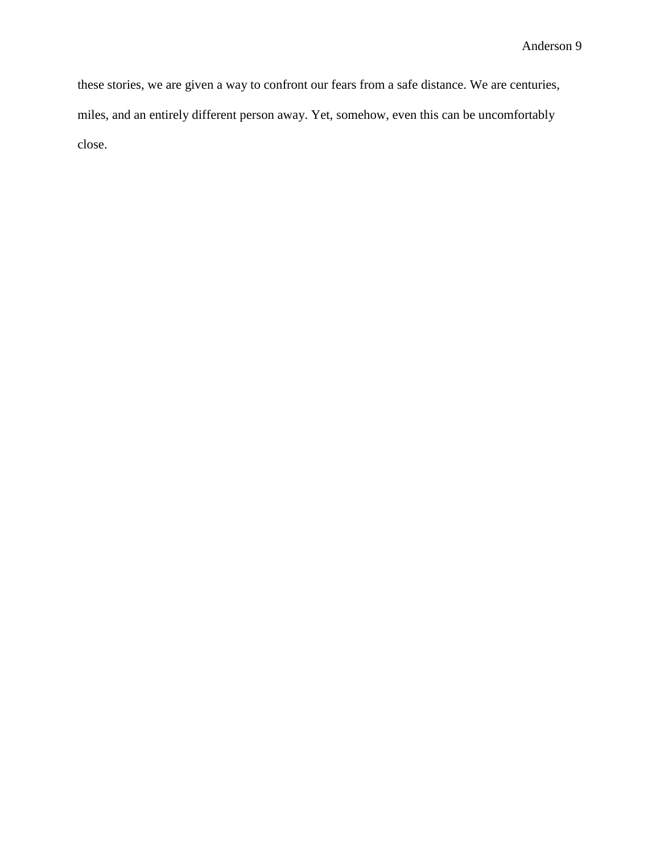these stories, we are given a way to confront our fears from a safe distance. We are centuries, miles, and an entirely different person away. Yet, somehow, even this can be uncomfortably close.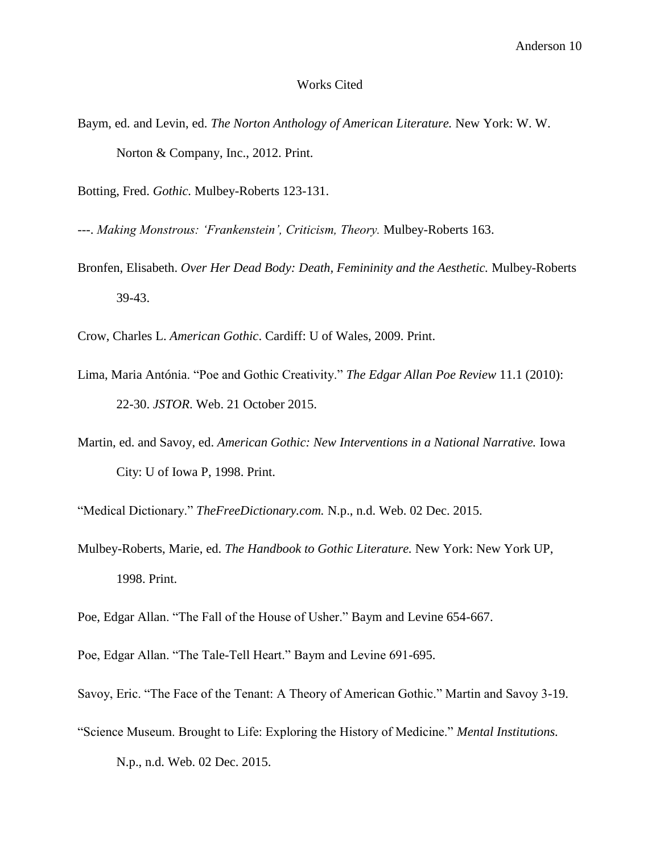### Works Cited

- Baym, ed. and Levin, ed. *The Norton Anthology of American Literature.* New York: W. W. Norton & Company, Inc., 2012. Print.
- Botting, Fred. *Gothic.* Mulbey-Roberts 123-131.
- ---. *Making Monstrous: 'Frankenstein', Criticism, Theory.* Mulbey-Roberts 163.
- Bronfen, Elisabeth. *Over Her Dead Body: Death, Femininity and the Aesthetic.* Mulbey-Roberts 39-43.
- Crow, Charles L. *American Gothic*. Cardiff: U of Wales, 2009. Print.
- Lima, Maria Antónia. "Poe and Gothic Creativity." *The Edgar Allan Poe Review* 11.1 (2010): 22-30. *JSTOR*. Web. 21 October 2015.
- Martin, ed. and Savoy, ed. *American Gothic: New Interventions in a National Narrative.* Iowa City: U of Iowa P, 1998. Print.
- "Medical Dictionary." *TheFreeDictionary.com.* N.p., n.d. Web. 02 Dec. 2015.
- Mulbey-Roberts, Marie, ed. *The Handbook to Gothic Literature.* New York: New York UP, 1998. Print.

Poe, Edgar Allan. "The Fall of the House of Usher." Baym and Levine 654-667.

Poe, Edgar Allan. "The Tale-Tell Heart." Baym and Levine 691-695.

- Savoy, Eric. "The Face of the Tenant: A Theory of American Gothic." Martin and Savoy 3-19.
- "Science Museum. Brought to Life: Exploring the History of Medicine." *Mental Institutions.*

N.p., n.d. Web. 02 Dec. 2015.